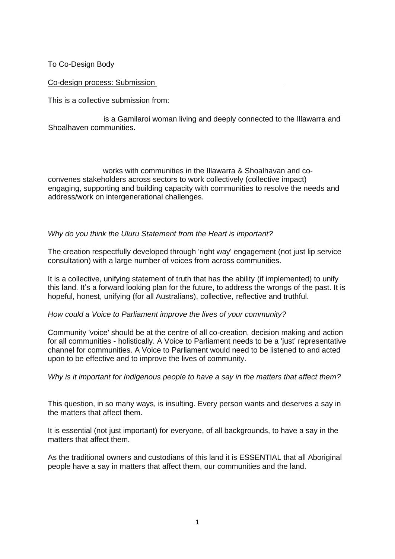To Co-Design Body

Co-design process: Submission

This is a collective submission from:

is a Gamilaroi woman living and deeply connected to the Illawarra and Shoalhaven communities.

works with communities in the Illawarra & Shoalhavan and coconvenes stakeholders across sectors to work collectively (collective impact) engaging, supporting and building capacity with communities to resolve the needs and address/work on intergenerational challenges.

## *Why do you think the Uluru Statement from the Heart is important?*

The creation respectfully developed through 'right way' engagement (not just lip service consultation) with a large number of voices from across communities.

It is a collective, unifying statement of truth that has the ability (if implemented) to unify this land. It's a forward looking plan for the future, to address the wrongs of the past. It is hopeful, honest, unifying (for all Australians), collective, reflective and truthful.

## *How could a Voice to Parliament improve the lives of your community?*

Community 'voice' should be at the centre of all co-creation, decision making and action for all communities - holistically. A Voice to Parliament needs to be a 'just' representative channel for communities. A Voice to Parliament would need to be listened to and acted upon to be effective and to improve the lives of community.

*Why is it important for Indigenous people to have a say in the matters that affect them?*

This question, in so many ways, is insulting. Every person wants and deserves a say in the matters that affect them.

It is essential (not just important) for everyone, of all backgrounds, to have a say in the matters that affect them.

As the traditional owners and custodians of this land it is ESSENTIAL that all Aboriginal people have a say in matters that affect them, our communities and the land.